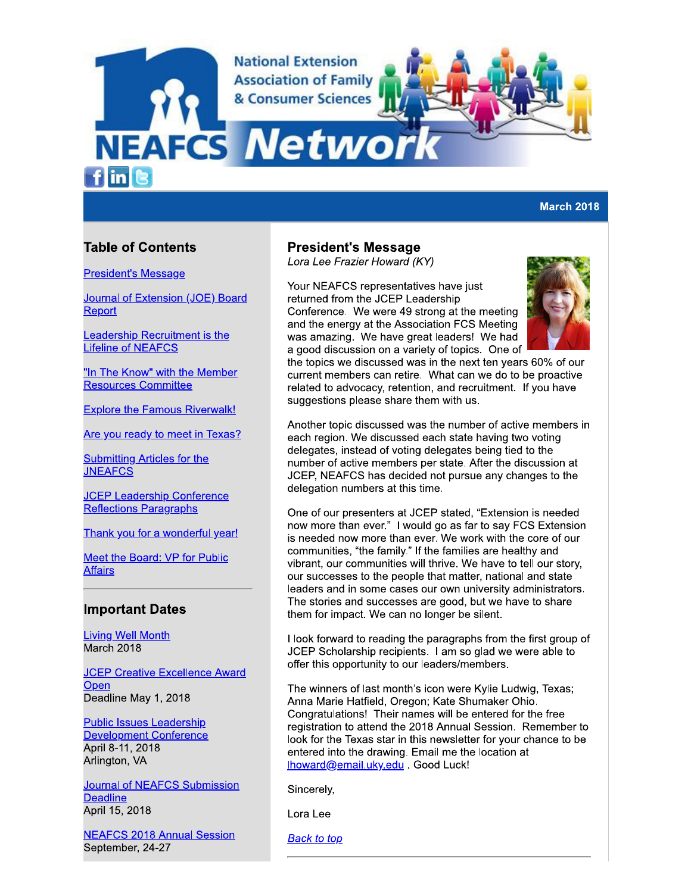**National Extension Association of Family** & Consumer Sciences

# **NEAFCS Netwo**

 $f$  in  $\epsilon$ 

## **March 2018**

# **Table of Contents**

**President's Message** 

Journal of Extension (JOE) Board Report

Leadership Recruitment is the **Lifeline of NEAFCS** 

"In The Know" with the Member **Resources Committee** 

**Explore the Famous Riverwalk!** 

Are you ready to meet in Texas?

**Submitting Articles for the JNEAFCS** 

**JCEP Leadership Conference Reflections Paragraphs** 

Thank you for a wonderful year!

Meet the Board: VP for Public **Affairs** 

## **Important Dates**

**Living Well Month** March 2018

**JCEP Creative Excellence Award** Open Deadline May 1, 2018

**Public Issues Leadership Development Conference** April 8-11, 2018 Arlington, VA

**Journal of NEAFCS Submission Deadline** April 15, 2018

**NEAFCS 2018 Annual Session** September, 24-27

## **President's Message**

Lora Lee Frazier Howard (KY)

Your NEAFCS representatives have just returned from the JCEP Leadership Conference. We were 49 strong at the meeting and the energy at the Association FCS Meeting was amazing. We have great leaders! We had a good discussion on a variety of topics. One of



the topics we discussed was in the next ten years 60% of our current members can retire. What can we do to be proactive related to advocacy, retention, and recruitment. If you have suggestions please share them with us.

Another topic discussed was the number of active members in each region. We discussed each state having two voting delegates, instead of voting delegates being tied to the number of active members per state. After the discussion at JCEP, NEAFCS has decided not pursue any changes to the delegation numbers at this time.

One of our presenters at JCEP stated, "Extension is needed now more than ever." I would go as far to say FCS Extension is needed now more than ever. We work with the core of our communities, "the family." If the families are healthy and vibrant, our communities will thrive. We have to tell our story, our successes to the people that matter, national and state leaders and in some cases our own university administrators. The stories and successes are good, but we have to share them for impact. We can no longer be silent.

I look forward to reading the paragraphs from the first group of JCEP Scholarship recipients. I am so glad we were able to offer this opportunity to our leaders/members.

The winners of last month's icon were Kylie Ludwig, Texas; Anna Marie Hatfield, Oregon; Kate Shumaker Ohio. Congratulations! Their names will be entered for the free registration to attend the 2018 Annual Session. Remember to look for the Texas star in this newsletter for your chance to be entered into the drawing. Email me the location at Ihoward@email.uky.edu . Good Luck!

Sincerelv.

Lora Lee

**Back to top**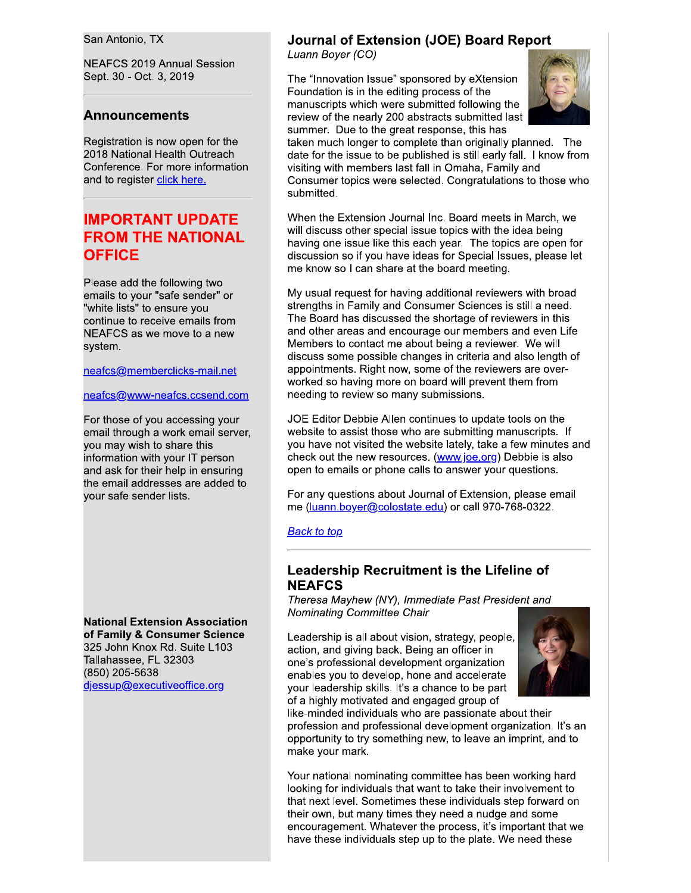San Antonio, TX

**NEAFCS 2019 Annual Session** Sept. 30 - Oct. 3, 2019

## **Announcements**

Registration is now open for the 2018 National Health Outreach Conference. For more information and to register click here.

# **IMPORTANT UPDATE FROM THE NATIONAL OFFICE**

Please add the following two emails to your "safe sender" or "white lists" to ensure you continue to receive emails from NEAFCS as we move to a new system.

neafcs@memberclicks-mail.net

#### neafcs@www-neafcs.ccsend.com

For those of you accessing your email through a work email server, you may wish to share this information with your IT person and ask for their help in ensuring the email addresses are added to your safe sender lists.

**National Extension Association** of Family & Consumer Science 325 John Knox Rd. Suite L103 Tallahassee, FL 32303 (850) 205-5638 djessup@executiveoffice.org

## **Journal of Extension (JOE) Board Report**

Luann Boyer (CO)

The "Innovation Issue" sponsored by eXtension Foundation is in the editing process of the manuscripts which were submitted following the review of the nearly 200 abstracts submitted last summer. Due to the great response, this has



taken much longer to complete than originally planned. The date for the issue to be published is still early fall. I know from visiting with members last fall in Omaha, Family and Consumer topics were selected. Congratulations to those who submitted.

When the Extension Journal Inc. Board meets in March, we will discuss other special issue topics with the idea being having one issue like this each year. The topics are open for discussion so if you have ideas for Special Issues, please let me know so I can share at the board meeting.

My usual request for having additional reviewers with broad strengths in Family and Consumer Sciences is still a need. The Board has discussed the shortage of reviewers in this and other areas and encourage our members and even Life Members to contact me about being a reviewer. We will discuss some possible changes in criteria and also length of appointments. Right now, some of the reviewers are overworked so having more on board will prevent them from needing to review so many submissions.

JOE Editor Debbie Allen continues to update tools on the website to assist those who are submitting manuscripts. If you have not visited the website lately, take a few minutes and check out the new resources. (www.joe.org) Debbie is also open to emails or phone calls to answer your questions.

For any questions about Journal of Extension, please email me (luann.boyer@colostate.edu) or call 970-768-0322.

#### **Back to top**

## Leadership Recruitment is the Lifeline of **NEAFCS**

Theresa Mayhew (NY), Immediate Past President and Nominating Committee Chair

Leadership is all about vision, strategy, people, action, and giving back. Being an officer in one's professional development organization enables you to develop, hone and accelerate your leadership skills. It's a chance to be part of a highly motivated and engaged group of



like-minded individuals who are passionate about their profession and professional development organization. It's an opportunity to try something new, to leave an imprint, and to make your mark.

Your national nominating committee has been working hard looking for individuals that want to take their involvement to that next level. Sometimes these individuals step forward on their own, but many times they need a nudge and some encouragement. Whatever the process, it's important that we have these individuals step up to the plate. We need these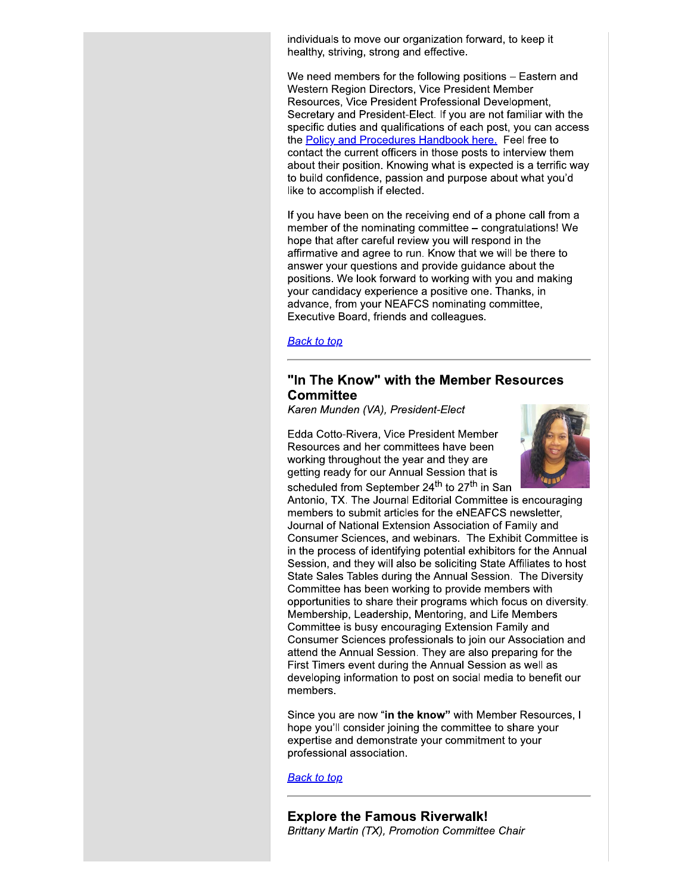individuals to move our organization forward, to keep it healthy, striving, strong and effective.

We need members for the following positions - Eastern and Western Region Directors, Vice President Member Resources, Vice President Professional Development, Secretary and President-Elect. If you are not familiar with the specific duties and qualifications of each post, you can access the Policy and Procedures Handbook here. Feel free to contact the current officers in those posts to interview them about their position. Knowing what is expected is a terrific way to build confidence, passion and purpose about what you'd like to accomplish if elected.

If you have been on the receiving end of a phone call from a member of the nominating committee - congratulations! We hope that after careful review you will respond in the affirmative and agree to run. Know that we will be there to answer your questions and provide guidance about the positions. We look forward to working with you and making your candidacy experience a positive one. Thanks, in advance, from your NEAFCS nominating committee, Executive Board, friends and colleagues.

**Back to top** 

## "In The Know" with the Member Resources **Committee**

Karen Munden (VA), President-Elect

Edda Cotto-Rivera, Vice President Member Resources and her committees have been working throughout the year and they are getting ready for our Annual Session that is scheduled from September 24<sup>th</sup> to 27<sup>th</sup> in San



Antonio, TX. The Journal Editorial Committee is encouraging members to submit articles for the eNEAFCS newsletter, Journal of National Extension Association of Family and Consumer Sciences, and webinars. The Exhibit Committee is in the process of identifying potential exhibitors for the Annual Session, and they will also be soliciting State Affiliates to host State Sales Tables during the Annual Session. The Diversity Committee has been working to provide members with opportunities to share their programs which focus on diversity. Membership, Leadership, Mentoring, and Life Members Committee is busy encouraging Extension Family and Consumer Sciences professionals to join our Association and attend the Annual Session. They are also preparing for the First Timers event during the Annual Session as well as developing information to post on social media to benefit our members.

Since you are now "in the know" with Member Resources, I hope you'll consider joining the committee to share your expertise and demonstrate your commitment to your professional association.

**Back to top**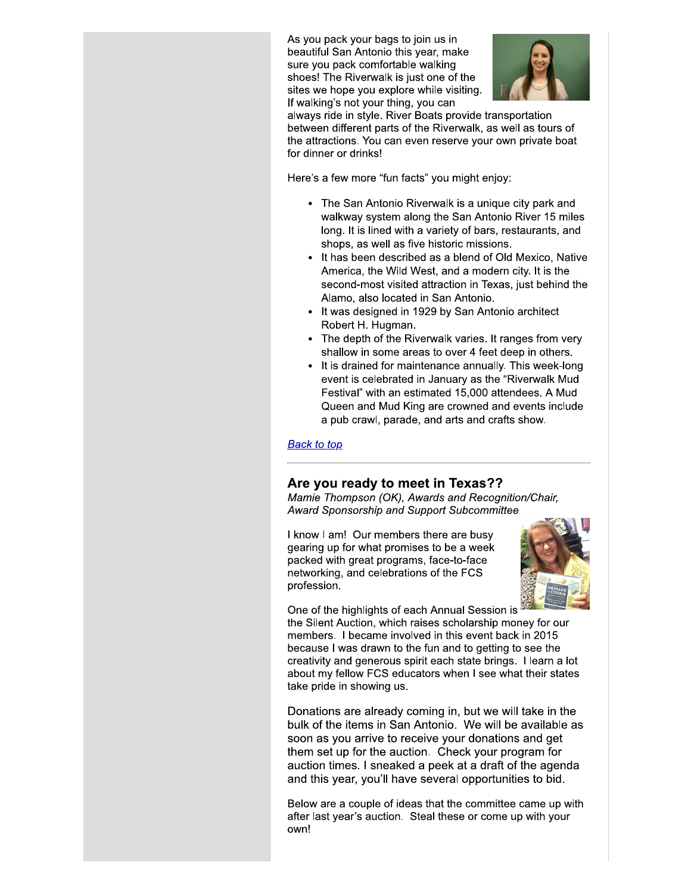As you pack your bags to join us in beautiful San Antonio this year, make sure you pack comfortable walking shoes! The Riverwalk is just one of the sites we hope you explore while visiting. If walking's not your thing, you can



always ride in style. River Boats provide transportation between different parts of the Riverwalk, as well as tours of the attractions. You can even reserve your own private boat for dinner or drinks!

Here's a few more "fun facts" you might enjoy:

- The San Antonio Riverwalk is a unique city park and walkway system along the San Antonio River 15 miles long. It is lined with a variety of bars, restaurants, and shops, as well as five historic missions.
- It has been described as a blend of Old Mexico, Native America, the Wild West, and a modern city. It is the second-most visited attraction in Texas, just behind the Alamo, also located in San Antonio.
- It was designed in 1929 by San Antonio architect Robert H. Hugman.
- The depth of the Riverwalk varies. It ranges from very shallow in some areas to over 4 feet deep in others.
- It is drained for maintenance annually. This week-long event is celebrated in January as the "Riverwalk Mud Festival" with an estimated 15,000 attendees. A Mud Queen and Mud King are crowned and events include a pub crawl, parade, and arts and crafts show.

**Back to top** 

## Are you ready to meet in Texas??

Mamie Thompson (OK), Awards and Recognition/Chair, Award Sponsorship and Support Subcommittee

I know I am! Our members there are busy gearing up for what promises to be a week packed with great programs, face-to-face networking, and celebrations of the FCS profession.



One of the highlights of each Annual Session is the Silent Auction, which raises scholarship money for our members. I became involved in this event back in 2015 because I was drawn to the fun and to getting to see the creativity and generous spirit each state brings. I learn a lot about my fellow FCS educators when I see what their states take pride in showing us.

Donations are already coming in, but we will take in the bulk of the items in San Antonio. We will be available as soon as you arrive to receive your donations and get them set up for the auction. Check your program for auction times. I sneaked a peek at a draft of the agenda and this year, you'll have several opportunities to bid.

Below are a couple of ideas that the committee came up with after last year's auction. Steal these or come up with your own!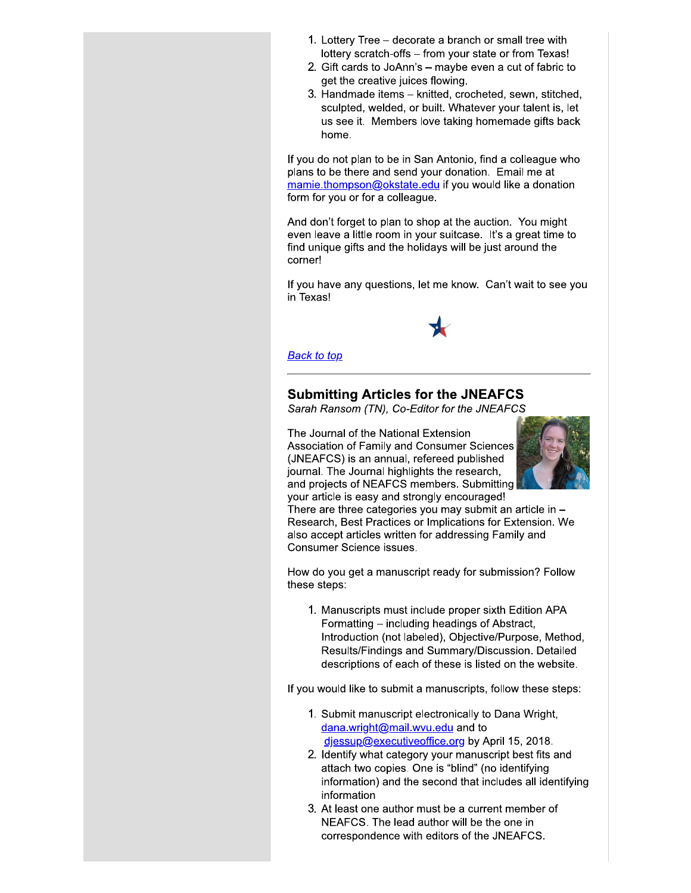- 1. Lottery Tree decorate a branch or small tree with lottery scratch-offs - from your state or from Texas!
- 2. Gift cards to JoAnn's maybe even a cut of fabric to get the creative juices flowing.
- 3. Handmade items knitted, crocheted, sewn, stitched, sculpted, welded, or built. Whatever your talent is, let us see it. Members love taking homemade gifts back home.

If you do not plan to be in San Antonio, find a colleague who plans to be there and send your donation. Email me at mamie.thompson@okstate.edu if you would like a donation form for you or for a colleague.

And don't forget to plan to shop at the auction. You might even leave a little room in your suitcase. It's a great time to find unique gifts and the holidays will be just around the corner!

If you have any questions, let me know. Can't wait to see you in Texas!



#### **Back to top**

## **Submitting Articles for the JNEAFCS**

Sarah Ransom (TN), Co-Editor for the JNEAFCS

The Journal of the National Extension Association of Family and Consumer Sciences (JNEAFCS) is an annual, refereed published journal. The Journal highlights the research, and projects of NEAFCS members. Submitting your article is easy and strongly encouraged!



There are three categories you may submit an article in  $-$ Research, Best Practices or Implications for Extension. We also accept articles written for addressing Family and Consumer Science issues.

How do you get a manuscript ready for submission? Follow these steps:

1. Manuscripts must include proper sixth Edition APA Formatting – including headings of Abstract, Introduction (not labeled), Objective/Purpose, Method, Results/Findings and Summary/Discussion. Detailed descriptions of each of these is listed on the website.

If you would like to submit a manuscripts, follow these steps:

- 1. Submit manuscript electronically to Dana Wright, dana.wright@mail.wvu.edu and to diessup@executiveoffice.org by April 15, 2018.
- 2. Identify what category your manuscript best fits and attach two copies. One is "blind" (no identifying information) and the second that includes all identifying information
- 3. At least one author must be a current member of NEAFCS. The lead author will be the one in correspondence with editors of the JNEAFCS.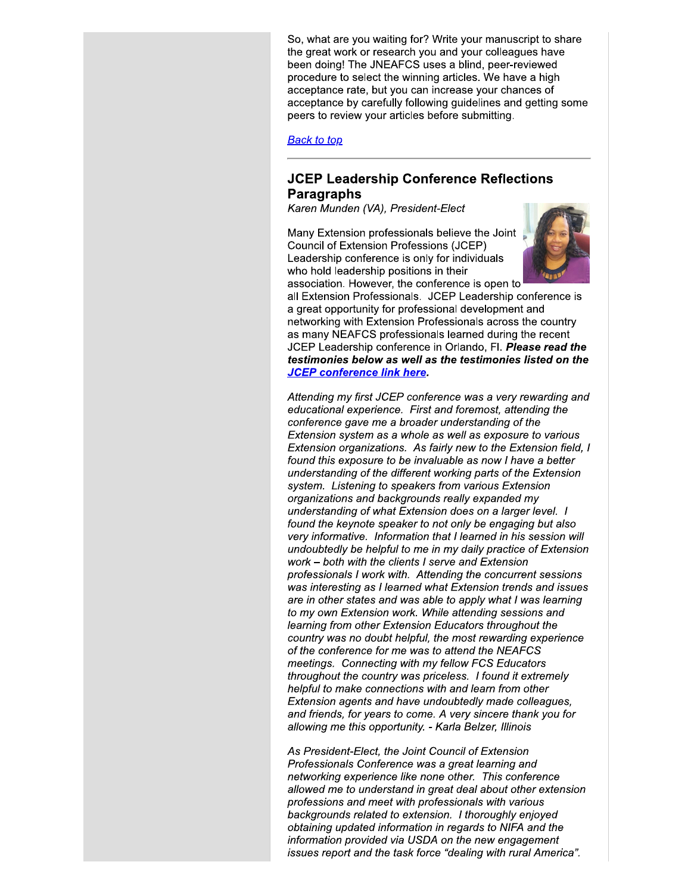So, what are you waiting for? Write your manuscript to share the great work or research you and your colleagues have been doing! The JNEAFCS uses a blind, peer-reviewed procedure to select the winning articles. We have a high acceptance rate, but you can increase your chances of acceptance by carefully following guidelines and getting some peers to review your articles before submitting.

**Back to top** 

### **JCEP Leadership Conference Reflections Paragraphs**

Karen Munden (VA), President-Elect

Many Extension professionals believe the Joint Council of Extension Professions (JCEP) Leadership conference is only for individuals who hold leadership positions in their association. However, the conference is open to



all Extension Professionals. JCEP Leadership conference is a great opportunity for professional development and networking with Extension Professionals across the country as many NEAFCS professionals learned during the recent JCEP Leadership conference in Orlando, Fl. Please read the testimonies below as well as the testimonies listed on the **JCEP conference link here.** 

Attending my first JCEP conference was a very rewarding and educational experience. First and foremost, attending the conference gave me a broader understanding of the Extension system as a whole as well as exposure to various Extension organizations. As fairly new to the Extension field, I found this exposure to be invaluable as now I have a better understanding of the different working parts of the Extension system. Listening to speakers from various Extension organizations and backgrounds really expanded my understanding of what Extension does on a larger level. I found the keynote speaker to not only be engaging but also very informative. Information that I learned in his session will undoubtedly be helpful to me in my daily practice of Extension work – both with the clients I serve and Extension professionals I work with. Attending the concurrent sessions was interesting as I learned what Extension trends and issues are in other states and was able to apply what I was learning to my own Extension work. While attending sessions and learning from other Extension Educators throughout the country was no doubt helpful, the most rewarding experience of the conference for me was to attend the NEAFCS meetings. Connecting with my fellow FCS Educators throughout the country was priceless. I found it extremely helpful to make connections with and learn from other Extension agents and have undoubtedly made colleagues, and friends, for years to come. A very sincere thank you for allowing me this opportunity. - Karla Belzer, Illinois

As President-Elect, the Joint Council of Extension Professionals Conference was a great learning and networking experience like none other. This conference allowed me to understand in great deal about other extension professions and meet with professionals with various backgrounds related to extension. I thoroughly enjoyed obtaining updated information in regards to NIFA and the information provided via USDA on the new engagement issues report and the task force "dealing with rural America".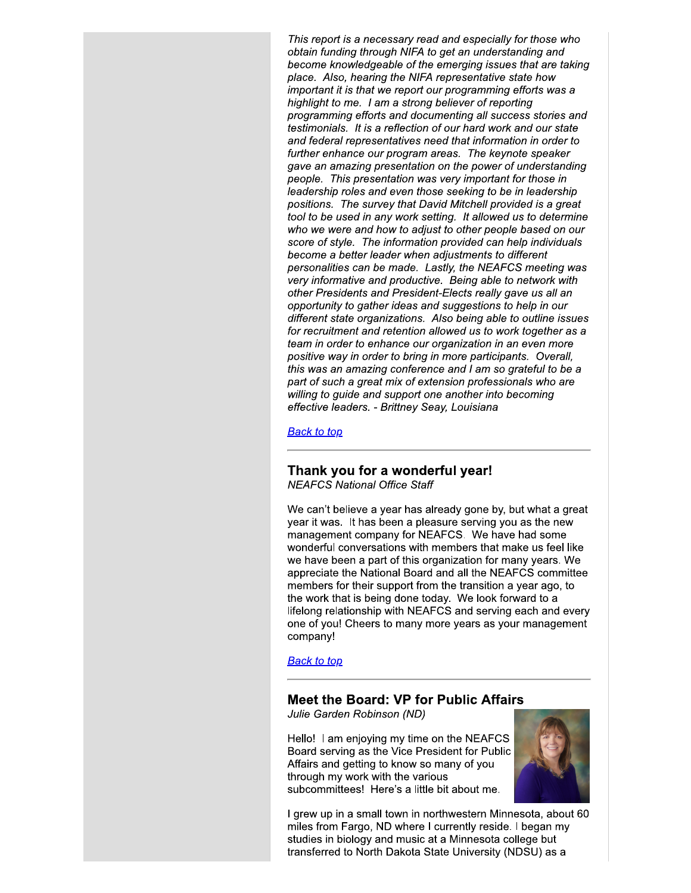This report is a necessary read and especially for those who optain funding through NIFA to get an understanding and become knowledgeable of the emerging issues that are taking piace. Also, nearing the NIFA representative state now **that i** important it is that we report our programming efforts was a nighlight to me. I am a strong believer of reporting programming efforts and documenting all success stories and testimonials. It is a reflection of our hard work and our state and federal representatives need that information in order to furtner ennance our program areas. The keynote speaker gave an amazing presentation on the power of understanding people. This presentation was very important for those in leadership roles and even those seeking to be in leadership positions. The survey that David Mitchell provided is a great tool to be used in any work setting. It allowed us to determine who we were and now to adjust to other people based on our score of style. The information provided can help individuals become a better leader when adjustments to different personalities can be made. Lastly, the NEAFCS meeting was very informative and productive. Being able to hetwork with leadership roles and even those seeking to be in leadership<br>positions. The survey that David Mitchell provided is a great<br>tool to be used in any work setting. It allowed us to determin<br>who we were and how to adjust to othe dents and President-Elects really gave us all an leadership roles and even those seeking to l<br>positions. The survey that David Mitchell pre<br>tool to be used in any work setting. It allowe<br>who we were and how to adjust to other peo<br>score of style. The information provided opportunity to gather ideas and suggestions to help in our different state organizations. Also being able to outline issues<br>for recruitment and retention allowed us to work together as a team in order to ennance our organization in an even more positive way in order to pring in more participants. Overall, this was an amazing conterence and I am so grateful to be a part of such a great mix of extension professionals who are willing to guide and support one another into becoming effective leaders. - Brittney Seay, Louislana

<u> васк то тор</u>

# Thank you for a wonderful year!

NEAFCS National Office Staff  $\mathcal{H}$ 

We can't believe a year has already gone by, but what a great year it was. It has been a pleasure serving you as the new management company for NEAFCS. We have had some wonderful conversations with members that make us feel like we have been a part of this organization for many years. We appreciate the National Board and all the NEAFCS committee members for their support from the transition a year ago, to the work that is being done today. We look forward to a lifelong relationship with NEAFCS and serving each and every one of you! Cheers to many more years as your management company!

<u> васк то тор</u>

#### Meet the Board: VP for Public Affairs

Julie Garden Robinson (ND) and the control of the control of the control of the control of the control of the c<br>In the control of the control of the control of the control of the control of the control of the control of th

Hello! I am enjoying my time on the NEAFCS Board serving as the Vice President for Public Affairs and getting to know so many of you through my work with the various subcommittees! Here's a little bit about me.



I grew up in a small town in northwestern Minnesota, about 60 miles from Fargo, ND where I currently reside. I began my studies in biology and music at a Minnesota college but transferred to North Dakota State University (NDSU) as a